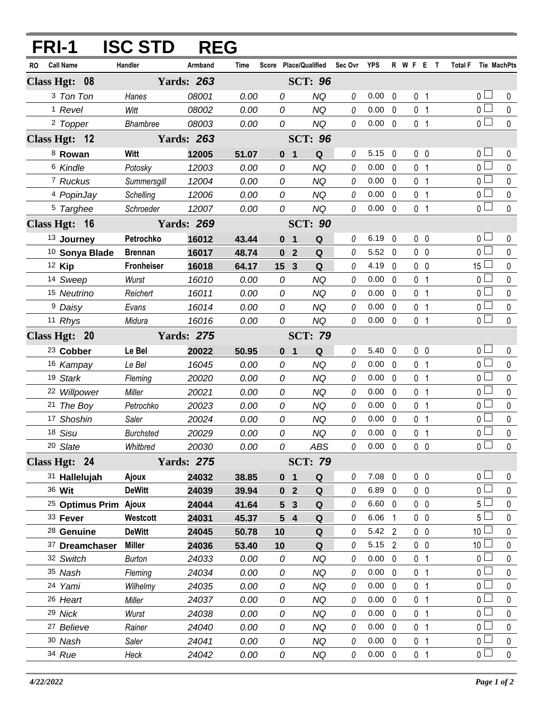| FRI-1                            | <b>ISC STD</b>    | <b>REG</b>        |       |                                            |                       |             |                |                |           |                |                     |             |
|----------------------------------|-------------------|-------------------|-------|--------------------------------------------|-----------------------|-------------|----------------|----------------|-----------|----------------|---------------------|-------------|
| <b>Call Name</b><br>RO           | Handler           | Armband           | Time  |                                            | Score Place/Qualified | Sec Ovr YPS |                |                | R W F E T |                | Total F Tie MachPts |             |
| Class Hgt: 08                    |                   | <b>Yards: 263</b> |       |                                            | <b>SCT: 96</b>        |             |                |                |           |                |                     |             |
| 3 Ton Ton                        | Hanes             | 08001             | 0.00  | 0                                          | <b>NQ</b>             | 0           | 0.00           | $\mathbf 0$    |           | 0 <sub>1</sub> | 0 <sup>1</sup>      | 0           |
| <sup>1</sup> Revel               | Witt              | 08002             | 0.00  | 0                                          | <b>NQ</b>             | 0           | 0.00           | 0              |           | 0 <sub>1</sub> | 0 <sub>1</sub>      | $\mathbf 0$ |
| <sup>2</sup> Topper              | <b>Bhambree</b>   | 08003             | 0.00  | 0                                          | <b>NQ</b>             | $\theta$    | $0.00 \quad 0$ |                |           | 0 <sub>1</sub> | $\overline{0}$      | $\pmb{0}$   |
| Class Hgt: 12                    |                   | <b>Yards: 263</b> |       |                                            | <b>SCT: 96</b>        |             |                |                |           |                |                     |             |
| <sup>8</sup> Rowan               | Witt              | 12005             | 51.07 | 0 <sub>1</sub>                             | Q                     | 0           | $5.15 \quad 0$ |                |           | $0\quad 0$     | 0 <sub>0</sub>      | 0           |
| <sup>6</sup> Kindle              | Potosky           | 12003             | 0.00  | 0                                          | <b>NQ</b>             | 0           | 0.00           | $\mathbf{0}$   |           | 0 <sub>1</sub> | 0 <sub>0</sub>      | $\mathbf 0$ |
| 7 Ruckus                         | Summersgill       | 12004             | 0.00  | 0                                          | <b>NQ</b>             | 0           | 0.00           | $\mathbf{0}$   |           | 0 <sub>1</sub> | 0 <sub>0</sub>      | 0           |
| 4 PopinJay                       | Schelling         | 12006             | 0.00  | 0                                          | <b>NQ</b>             | 0           | 0.00           | $\mathbf 0$    |           | 0 <sub>1</sub> | 0 <sub>1</sub>      | $\pmb{0}$   |
| 5 Targhee                        | Schroeder         | 12007             | 0.00  | 0                                          | <b>NQ</b>             | 0           | $0.00 \quad 0$ |                |           | 0 <sub>1</sub> | 0 <sub>1</sub>      | $\mathbf 0$ |
| Class Hgt: 16                    |                   | <b>Yards: 269</b> |       |                                            | <b>SCT: 90</b>        |             |                |                |           |                |                     |             |
| <sup>13</sup> Journey            | Petrochko         | 16012             | 43.44 | $\mathbf{1}$<br>$\mathbf{0}$               | Q                     | $\theta$    | $6.19$ 0       |                |           | 0 <sub>0</sub> | 0 <sup>1</sup>      | 0           |
| 10 Sonya Blade                   | <b>Brennan</b>    | 16017             | 48.74 | $\overline{2}$<br>$\mathbf 0$              | Q                     | 0           | 5.52           | 0              |           | $0\quad 0$     | $0-$                | 0           |
| 12 Kip                           | <b>Fronheiser</b> | 16018             | 64.17 | $\overline{\mathbf{3}}$<br>15 <sub>1</sub> | Q                     | 0           | 4.19           | $\mathbf{0}$   |           | $0\quad 0$     | 15 $\Box$           | 0           |
| 14 Sweep                         | Wurst             | 16010             | 0.00  | 0                                          | <b>NQ</b>             | 0           | 0.00           | 0              |           | 0 <sub>1</sub> | 0 L                 | 0           |
| 15 Neutrino                      | Reichert          | 16011             | 0.00  | 0                                          | <b>NQ</b>             | 0           | 0.00           | $\mathbf 0$    |           | 0 <sub>1</sub> | 0 <sup>1</sup>      | 0           |
| <sup>9</sup> Daisy               | Evans             | 16014             | 0.00  | 0                                          | <b>NQ</b>             | 0           | 0.00           | $\mathbf{0}$   |           | 0 <sub>1</sub> | 0 <sup>1</sup>      | 0           |
| 11 Rhys                          | Midura            | 16016             | 0.00  | 0                                          | <b>NQ</b>             | $\theta$    | 0.00           | 0              |           | 0 <sub>1</sub> | $0-$                | $\mathbf 0$ |
| Class Hgt: 20                    |                   | <b>Yards: 275</b> |       |                                            | <b>SCT: 79</b>        |             |                |                |           |                |                     |             |
| <sup>23</sup> Cobber             | Le Bel            | 20022             | 50.95 | 0 <sub>1</sub>                             | Q                     | 0           | $5.40 \quad 0$ |                |           | $0\quad 0$     | 0 <sub>0</sub>      | 0           |
| 16 Kampay                        | Le Bel            | 16045             | 0.00  | 0                                          | <b>NQ</b>             | 0           | 0.00           | $\mathbf 0$    |           | 0 <sub>1</sub> | 0 <sup>1</sup>      | 0           |
| 19 Stark                         | Fleming           | 20020             | 0.00  | 0                                          | <b>NQ</b>             | 0           | 0.00           | $\mathbf{0}$   |           | 0 <sub>1</sub> | 0 <sub>0</sub>      | 0           |
| 22 Willpower                     | Miller            | 20021             | 0.00  | 0                                          | <b>NQ</b>             | 0           | 0.00           | $\mathbf 0$    |           | 0 <sub>1</sub> | 0 <sub>0</sub>      | 0           |
| 21 The Boy                       | Petrochko         | 20023             | 0.00  | 0                                          | NQ                    | 0           | 0.00           | $\mathbf{0}$   |           | 0 <sub>1</sub> | 0 l                 | 0           |
| 17 Shoshin                       | Saler             | 20024             | 0.00  | 0                                          | <b>NQ</b>             | 0           | 0.00           | $\mathbf{0}$   |           | 0 <sub>1</sub> | 0 L                 | 0           |
| 18 Sisu                          | <b>Burchsted</b>  | 20029             | 0.00  | 0                                          | <b>NQ</b>             | $\theta$    | $0.00 \quad 0$ |                |           | 0 <sub>1</sub> | 0 l                 | 0           |
| 20 Slate                         | Whitbred          | 20030             | 0.00  | 0                                          | ABS                   | 0           | $0.00 \quad 0$ |                |           | $0\quad 0$     | $\overline{0}$      | $\pmb{0}$   |
| Class Hgt: 24                    |                   | <b>Yards: 275</b> |       |                                            | <b>SCT: 79</b>        |             |                |                |           |                |                     |             |
| 31 Hallelujah                    | Ajoux             | 24032             | 38.85 | 0 <sub>1</sub>                             | Q                     | 0           | $7.08$ 0       |                |           | $0\quad 0$     | 0 <sub>0</sub>      | 0           |
| 36 Wit                           | <b>DeWitt</b>     | 24039             | 39.94 | 0 <sub>2</sub>                             | Q                     | 0           | $6.89$ 0       |                |           | 0 <sub>0</sub> | 0 l                 | $\mathbf 0$ |
| <sup>25</sup> Optimus Prim Ajoux |                   | 24044             | 41.64 | $5 -$<br>$\mathbf{3}$                      | Q                     | 0           | $6.60 \quad 0$ |                |           | $0\quad 0$     | 5 <sup>1</sup>      | 0           |
| 33 Fever                         | Westcott          | 24031             | 45.37 | 54                                         | Q                     | 0           | 6.06           | 1              |           | 0 <sub>0</sub> | 5 <sup>1</sup>      | 0           |
| <sup>28</sup> Genuine            | <b>DeWitt</b>     | 24045             | 50.78 | 10                                         | Q                     | 0           | 5.42 2         |                |           | $0\quad 0$     | 10 <sup>1</sup>     | 0           |
| 37 Dreamchaser                   | <b>Miller</b>     | 24036             | 53.40 | 10                                         | Q                     | 0           | 5.15 2         |                |           | $0\quad 0$     | 10 <sup>2</sup>     | 0           |
| 32 Switch                        | <b>Burton</b>     | 24033             | 0.00  | 0                                          | ΝQ                    | 0           | $0.00 \quad 0$ |                |           | 0 <sub>1</sub> | 0 <sub>0</sub>      | 0           |
| 35 Nash                          | Fleming           | 24034             | 0.00  | 0                                          | NQ                    | 0           | 0.00           | $\mathbf 0$    |           | 0 <sub>1</sub> | 0 l                 | 0           |
| 24 Yami                          | Wilhelmy          | 24035             | 0.00  | 0                                          | <b>NQ</b>             | 0           | 0.00           | $\overline{0}$ |           | 0 <sub>1</sub> | 0 <sub>0</sub>      | 0           |
| 26 Heart                         | Miller            | 24037             | 0.00  | 0                                          | <b>NQ</b>             | 0           | 0.00           | $\mathbf 0$    |           | 0 <sub>1</sub> | 0 <sub>0</sub>      | 0           |
| 29 Nick                          | Wurst             | 24038             | 0.00  | 0                                          | NQ                    | 0           | 0.00           | 0              |           | 0 <sub>1</sub> | 0 l                 | 0           |
| <sup>27</sup> Believe            | Rainer            | 24040             | 0.00  | 0                                          | NQ                    | 0           | $0.00 \quad 0$ |                |           | 0 <sub>1</sub> | 0 l                 | 0           |
| 30 Nash                          | Saler             | 24041             | 0.00  | 0                                          | NQ                    | 0           | $0.00 \quad 0$ |                |           | 0 <sub>1</sub> | 0 <sub>0</sub>      | 0           |
| 34 Rue                           | Heck              | 24042             | 0.00  | 0                                          | NQ                    | 0           | $0.00 \quad 0$ |                |           | 0 <sub>1</sub> | 0 <sub>1</sub>      | $\mathbf 0$ |